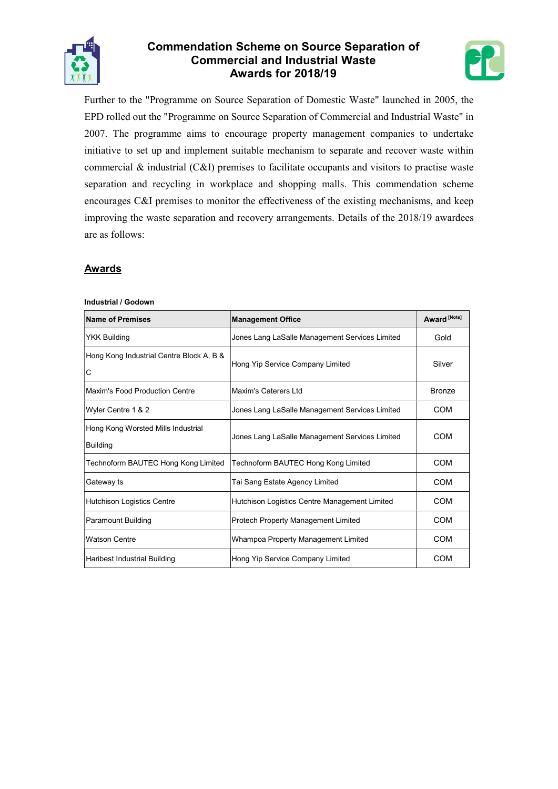

# Commendation Scheme on Source Separation of Commercial and Industrial Waste Awards for 2018/19



 Further to the "Programme on Source Separation of Domestic Waste" launched in 2005, the EPD rolled out the "Programme on Source Separation of Commercial and Industrial Waste" in 2007. The programme aims to encourage property management companies to undertake initiative to set up and implement suitable mechanism to separate and recover waste within commercial & industrial (C&I) premises to facilitate occupants and visitors to practise waste separation and recycling in workplace and shopping malls. This commendation scheme encourages C&I premises to monitor the effectiveness of the existing mechanisms, and keep improving the waste separation and recovery arrangements. Details of the 2018/19 awardees are as follows:

### **Awards**

### Industrial / Godown

| Name of Premises                               | <b>Management Office</b>                       | Award [Note]  |
|------------------------------------------------|------------------------------------------------|---------------|
| YKK Building                                   | Jones Lang LaSalle Management Services Limited | Gold          |
| Hong Kong Industrial Centre Block A, B &<br>IС | Hong Yip Service Company Limited               | Silver        |
| Maxim's Food Production Centre                 | Maxim's Caterers Ltd                           | <b>Bronze</b> |
| Wyler Centre 1 & 2                             | Jones Lang LaSalle Management Services Limited | COM           |
| Hong Kong Worsted Mills Industrial<br>Building | Jones Lang LaSalle Management Services Limited | COM           |
| Technoform BAUTEC Hong Kong Limited            | Technoform BAUTEC Hong Kong Limited            | COM           |
| ∣Gateway ts                                    | Tai Sang Estate Agency Limited                 | COM           |
| Hutchison Logistics Centre                     | Hutchison Logistics Centre Management Limited  | COM           |
| Paramount Building                             | <b>Protech Property Management Limited</b>     | COM           |
| Watson Centre                                  | Whampoa Property Management Limited            | <b>COM</b>    |
| Haribest Industrial Building                   | Hong Yip Service Company Limited               | COM           |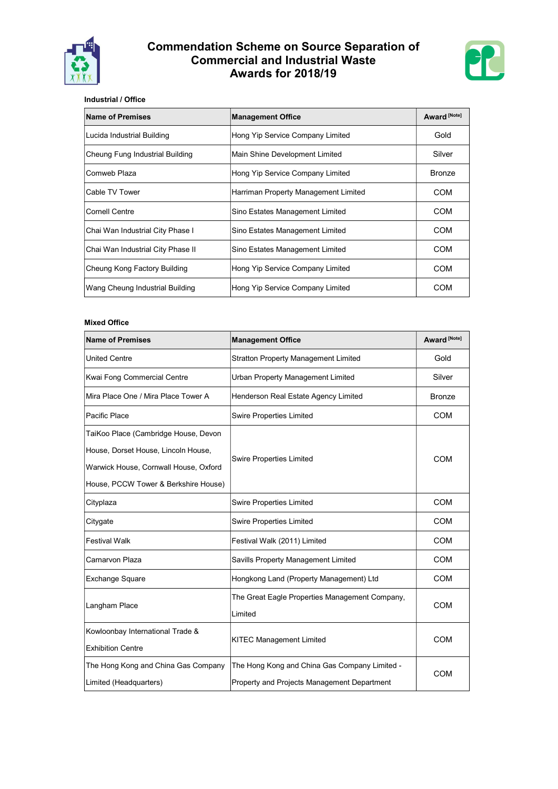

# Awards for 2018/19 Commendation Scheme on Source Separation of Commercial and Industrial Waste



### Industrial / Office

| Name of Premises                  | <b>Management Office</b>             | Award [Note]  |
|-----------------------------------|--------------------------------------|---------------|
| Lucida Industrial Building        | Hong Yip Service Company Limited     | Gold          |
| Cheung Fung Industrial Building   | Main Shine Development Limited       | Silver        |
| Comweb Plaza                      | Hong Yip Service Company Limited     | <b>Bronze</b> |
| Cable TV Tower                    | Harriman Property Management Limited | COM           |
| <b>Cornell Centre</b>             | Sino Estates Management Limited      | COM           |
| Chai Wan Industrial City Phase I  | Sino Estates Management Limited      | COM           |
| Chai Wan Industrial City Phase II | Sino Estates Management Limited      | COM           |
| Cheung Kong Factory Building      | Hong Yip Service Company Limited     | COM           |
| Wang Cheung Industrial Building   | Hong Yip Service Company Limited     | COM           |

#### Mixed Office

| <b>Name of Premises</b>                                                                                                                                      | <b>Management Office</b>                                                                     | Award [Note]  |
|--------------------------------------------------------------------------------------------------------------------------------------------------------------|----------------------------------------------------------------------------------------------|---------------|
| <b>United Centre</b>                                                                                                                                         | <b>Stratton Property Management Limited</b>                                                  | Gold          |
| Kwai Fong Commercial Centre                                                                                                                                  | Urban Property Management Limited                                                            | Silver        |
| Mira Place One / Mira Place Tower A                                                                                                                          | Henderson Real Estate Agency Limited                                                         | <b>Bronze</b> |
| Pacific Place                                                                                                                                                | <b>Swire Properties Limited</b>                                                              | <b>COM</b>    |
| TaiKoo Place (Cambridge House, Devon<br>House, Dorset House, Lincoln House,<br>Warwick House, Cornwall House, Oxford<br>House, PCCW Tower & Berkshire House) | <b>Swire Properties Limited</b>                                                              | COM           |
| Cityplaza                                                                                                                                                    | <b>Swire Properties Limited</b>                                                              | COM           |
| Citygate                                                                                                                                                     | <b>Swire Properties Limited</b>                                                              | <b>COM</b>    |
| <b>Festival Walk</b>                                                                                                                                         | Festival Walk (2011) Limited                                                                 | <b>COM</b>    |
| Carnarvon Plaza                                                                                                                                              | Savills Property Management Limited                                                          | <b>COM</b>    |
| <b>Exchange Square</b>                                                                                                                                       | Hongkong Land (Property Management) Ltd                                                      | <b>COM</b>    |
| Langham Place                                                                                                                                                | The Great Eagle Properties Management Company,<br>Limited                                    | <b>COM</b>    |
| Kowloonbay International Trade &<br><b>Exhibition Centre</b>                                                                                                 | <b>KITEC Management Limited</b>                                                              | COM           |
| The Hong Kong and China Gas Company<br>Limited (Headquarters)                                                                                                | The Hong Kong and China Gas Company Limited -<br>Property and Projects Management Department | COM           |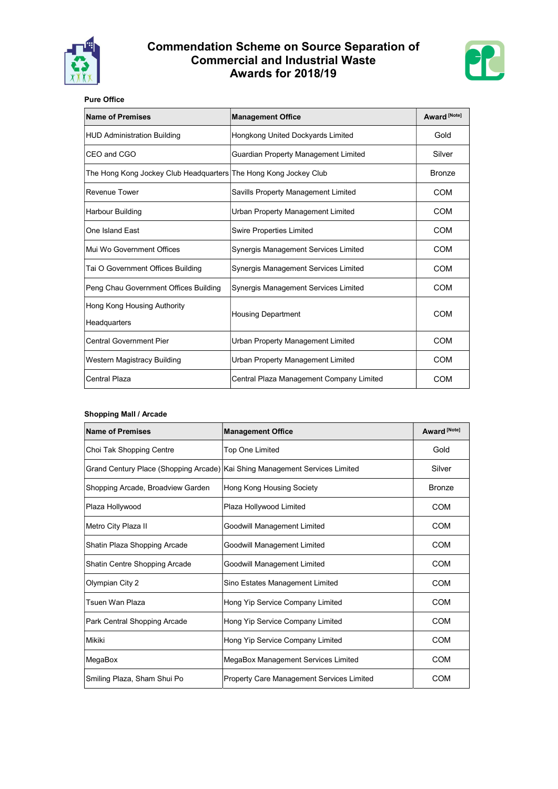

# Awards for 2018/19 Commendation Scheme on Source Separation of Commercial and Industrial Waste



#### Pure Office

| Name of Premises                                                 | <b>Management Office</b>                 | Award [Note]  |
|------------------------------------------------------------------|------------------------------------------|---------------|
| <b>HUD Administration Building</b>                               | Hongkong United Dockyards Limited        | Gold          |
| CEO and CGO                                                      | Guardian Property Management Limited     | Silver        |
| The Hong Kong Jockey Club Headquarters The Hong Kong Jockey Club |                                          | <b>Bronze</b> |
| Revenue Tower                                                    | Savills Property Management Limited      | COM           |
| Harbour Building                                                 | Urban Property Management Limited        | <b>COM</b>    |
| One Island East                                                  | <b>Swire Properties Limited</b>          | <b>COM</b>    |
| Mui Wo Government Offices                                        | Synergis Management Services Limited     | <b>COM</b>    |
| Tai O Government Offices Building                                | Synergis Management Services Limited     | COM           |
| Peng Chau Government Offices Building                            | Synergis Management Services Limited     | COM           |
| Hong Kong Housing Authority<br>Headquarters                      | <b>Housing Department</b>                | COM           |
| <b>Central Government Pier</b>                                   | Urban Property Management Limited        | COM           |
| Western Magistracy Building                                      | Urban Property Management Limited        | <b>COM</b>    |
| <b>Central Plaza</b>                                             | Central Plaza Management Company Limited | <b>COM</b>    |

#### Shopping Mall / Arcade

| Name of Premises                  | <b>Management Office</b>                                                    | Award [Note]  |
|-----------------------------------|-----------------------------------------------------------------------------|---------------|
| Choi Tak Shopping Centre          | Top One Limited                                                             | Gold          |
|                                   | Grand Century Place (Shopping Arcade) Kai Shing Management Services Limited | Silver        |
| Shopping Arcade, Broadview Garden | Hong Kong Housing Society                                                   | <b>Bronze</b> |
| Plaza Hollywood                   | Plaza Hollywood Limited                                                     | <b>COM</b>    |
| Metro City Plaza II               | Goodwill Management Limited                                                 | <b>COM</b>    |
| Shatin Plaza Shopping Arcade      | Goodwill Management Limited                                                 | <b>COM</b>    |
| Shatin Centre Shopping Arcade     | Goodwill Management Limited                                                 | <b>COM</b>    |
| Olympian City 2                   | Sino Estates Management Limited                                             | <b>COM</b>    |
| Tsuen Wan Plaza                   | Hong Yip Service Company Limited                                            | COM           |
| Park Central Shopping Arcade      | Hong Yip Service Company Limited                                            | <b>COM</b>    |
| Mikiki                            | Hong Yip Service Company Limited                                            | COM           |
| MegaBox                           | MegaBox Management Services Limited                                         | <b>COM</b>    |
| Smiling Plaza, Sham Shui Po       | <b>Property Care Management Services Limited</b>                            | <b>COM</b>    |